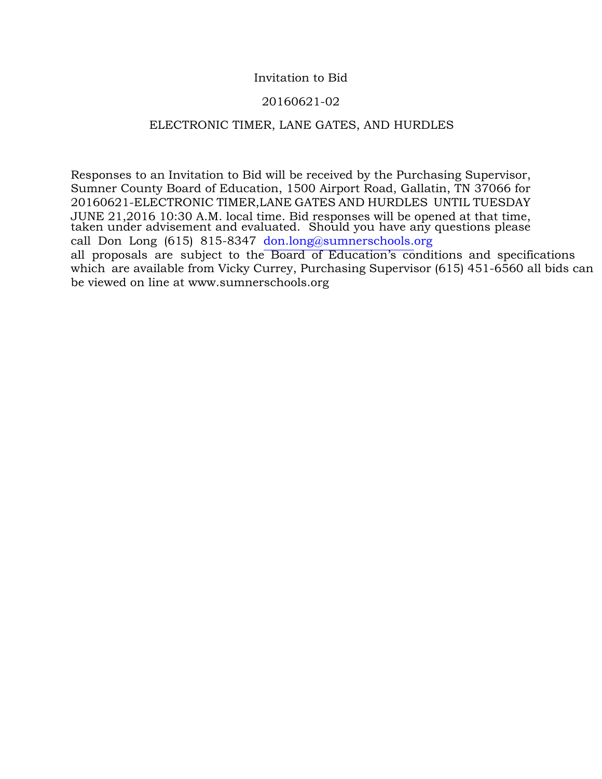#### Invitation to Bid

#### 20160621-02

#### ELECTRONIC TIMER, LANE GATES, AND HURDLES

Responses to an Invitation to Bid will be received by the Purchasing Supervisor, Sumner County Board of Education, 1500 Airport Road, Gallatin, TN 37066 for 20160621-ELECTRONIC TIMER,LANE GATES AND HURDLES UNTIL TUESDAY JUNE 21,2016 10:30 A.M. local time. Bid responses will be opened at that time, taken under advisement and evaluated. Should you have any questions please call Don Long (615) 815-8347 don.[long@sumnerschools.o](mailto:dlong@sumnerschools.org)rg all proposals are subject to the Board of Education's conditions and specifications which are available from Vicky Currey, Purchasing Supervisor (615) 451-6560 all bids can be viewed on line at www.sumnerschools.org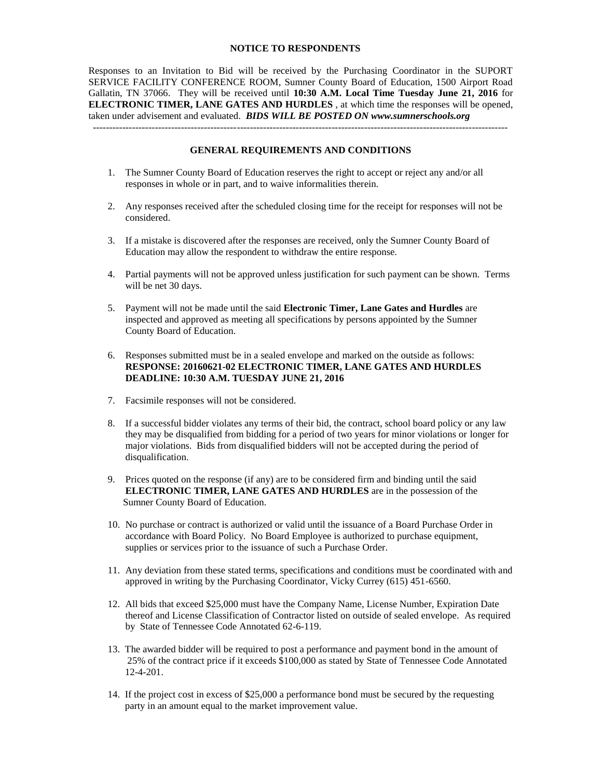#### **NOTICE TO RESPONDENTS**

Responses to an Invitation to Bid will be received by the Purchasing Coordinator in the SUPORT SERVICE FACILITY CONFERENCE ROOM, Sumner County Board of Education, 1500 Airport Road Gallatin, TN 37066. They will be received until **10:30 A.M. Local Time Tuesday June 21, 2016** for **ELECTRONIC TIMER, LANE GATES AND HURDLES** , at which time the responses will be opened, taken under advisement and evaluated. *BIDS WILL BE POSTED ON www.sumnerschools.org* -------------------------------------------------------------------------------------------------------------------------------

#### **GENERAL REQUIREMENTS AND CONDITIONS**

- 1. The Sumner County Board of Education reserves the right to accept or reject any and/or all responses in whole or in part, and to waive informalities therein.
- 2. Any responses received after the scheduled closing time for the receipt for responses will not be considered.
- 3. If a mistake is discovered after the responses are received, only the Sumner County Board of Education may allow the respondent to withdraw the entire response.
- 4. Partial payments will not be approved unless justification for such payment can be shown. Terms will be net 30 days.
- 5. Payment will not be made until the said **Electronic Timer, Lane Gates and Hurdles** are inspected and approved as meeting all specifications by persons appointed by the Sumner County Board of Education.
- 6. Responses submitted must be in a sealed envelope and marked on the outside as follows: **RESPONSE: 20160621-02 ELECTRONIC TIMER, LANE GATES AND HURDLES DEADLINE: 10:30 A.M. TUESDAY JUNE 21, 2016**
- 7. Facsimile responses will not be considered.
- 8. If a successful bidder violates any terms of their bid, the contract, school board policy or any law they may be disqualified from bidding for a period of two years for minor violations or longer for major violations. Bids from disqualified bidders will not be accepted during the period of disqualification.
- 9. Prices quoted on the response (if any) are to be considered firm and binding until the said **ELECTRONIC TIMER, LANE GATES AND HURDLES** are in the possession of the Sumner County Board of Education.
- 10. No purchase or contract is authorized or valid until the issuance of a Board Purchase Order in accordance with Board Policy. No Board Employee is authorized to purchase equipment, supplies or services prior to the issuance of such a Purchase Order.
- 11. Any deviation from these stated terms, specifications and conditions must be coordinated with and approved in writing by the Purchasing Coordinator, Vicky Currey (615) 451-6560.
- 12. All bids that exceed \$25,000 must have the Company Name, License Number, Expiration Date thereof and License Classification of Contractor listed on outside of sealed envelope. As required by State of Tennessee Code Annotated 62-6-119.
- 13. The awarded bidder will be required to post a performance and payment bond in the amount of 25% of the contract price if it exceeds \$100,000 as stated by State of Tennessee Code Annotated 12-4-201.
- 14. If the project cost in excess of \$25,000 a performance bond must be secured by the requesting party in an amount equal to the market improvement value.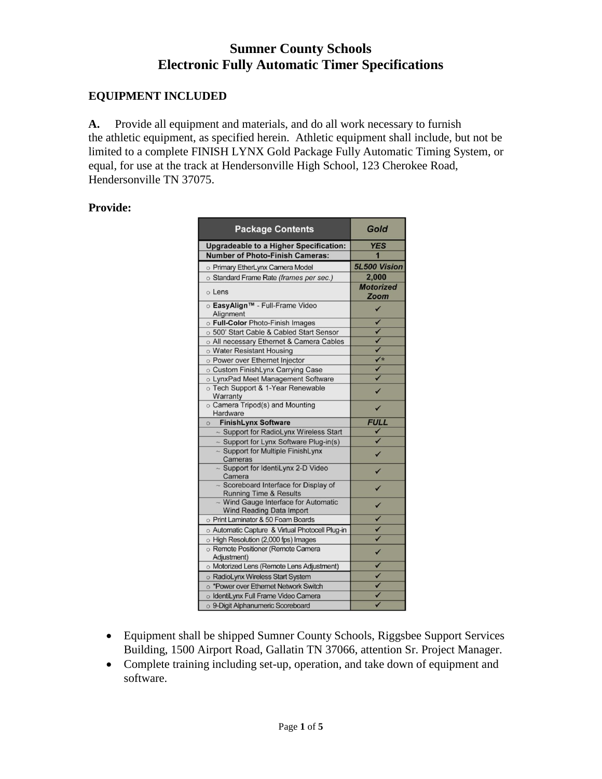## **Sumner County Schools Electronic Fully Automatic Timer Specifications**

## **EQUIPMENT INCLUDED**

**A.** Provide all equipment and materials, and do all work necessary to furnish the athletic equipment, as specified herein. Athletic equipment shall include, but not be limited to a complete FINISH LYNX Gold Package Fully Automatic Timing System, or equal, for use at the track at Hendersonville High School, 123 Cherokee Road, Hendersonville TN 37075.

#### **Provide:**

| <b>Package Contents</b>                                                    | Gold                     |
|----------------------------------------------------------------------------|--------------------------|
| <b>Upgradeable to a Higher Specification:</b>                              | <b>YES</b>               |
| <b>Number of Photo-Finish Cameras:</b>                                     |                          |
| o Primary EtherLynx Camera Model                                           | 5L500 Vision             |
| o Standard Frame Rate (frames per sec.)                                    | 2,000                    |
| o Lens                                                                     | <b>Motorized</b><br>Zoom |
| ⊙ EasyAlign™ - Full-Frame Video<br>Alignment                               | ✓                        |
| o Full-Color Photo-Finish Images                                           |                          |
| o 500' Start Cable & Cabled Start Sensor                                   |                          |
| o All necessary Ethernet & Camera Cables                                   |                          |
| o Water Resistant Housing                                                  |                          |
| o Power over Ethernet Injector                                             | $\sqrt{*}$               |
| o Custom FinishLynx Carrying Case                                          | ✓                        |
| o LynxPad Meet Management Software                                         |                          |
| o Tech Support & 1-Year Renewable<br>Warranty                              |                          |
| o Camera Tripod(s) and Mounting<br>Hardware                                | ✓                        |
| <b>FinishLynx Software</b><br>$\circ$                                      | <b>FULL</b>              |
| ~ Support for RadioLynx Wireless Start                                     |                          |
| - Support for Lynx Software Plug-in(s)                                     |                          |
| $\sim$ Support for Multiple Finish Lynx<br>Cameras                         |                          |
| ~ Support for IdentiLynx 2-D Video<br>Camera                               | ✓                        |
| ~ Scoreboard Interface for Display of<br><b>Running Time &amp; Results</b> | ✓                        |
| ~ Wind Gauge Interface for Automatic<br><b>Wind Reading Data Import</b>    |                          |
| o Print Laminator & 50 Foam Boards                                         |                          |
| o Automatic Capture & Virtual Photocell Plug-in                            | $\checkmark$             |
| O High Resolution (2,000 fps) Images                                       |                          |
| o Remote Positioner (Remote Camera<br>Adjustment)                          | $\checkmark$             |
| Motorized Lens (Remote Lens Adjustment)                                    |                          |
| o RadioLynx Wireless Start System                                          |                          |
| o *Power over Ethernet Network Switch                                      |                          |
| o IdentiLynx Full Frame Video Camera                                       |                          |
| o 9-Digit Alphanumeric Scoreboard                                          |                          |

- Equipment shall be shipped Sumner County Schools, Riggsbee Support Services Building, 1500 Airport Road, Gallatin TN 37066, attention Sr. Project Manager.
- Complete training including set-up, operation, and take down of equipment and software.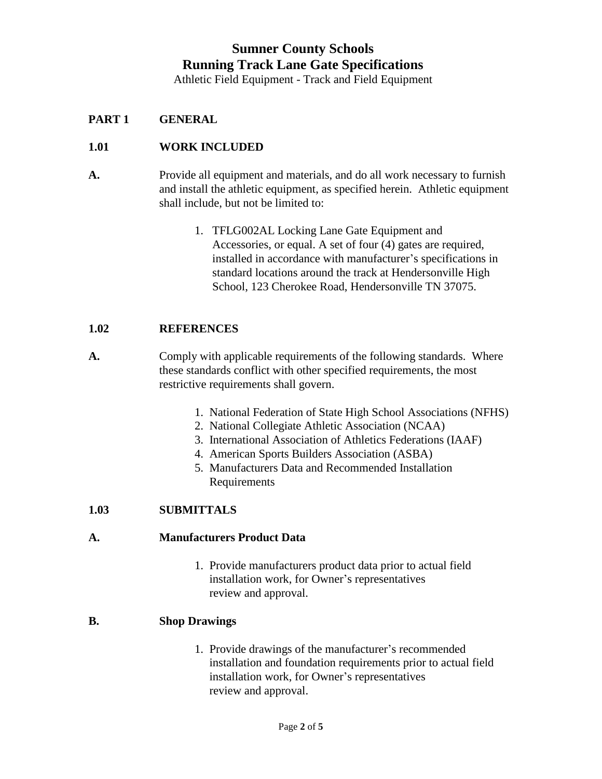# **Sumner County Schools Running Track Lane Gate Specifications**

Athletic Field Equipment - Track and Field Equipment

### **PART 1 GENERAL**

#### **1.01 WORK INCLUDED**

- **A.** Provide all equipment and materials, and do all work necessary to furnish and install the athletic equipment, as specified herein. Athletic equipment shall include, but not be limited to:
	- 1. TFLG002AL Locking Lane Gate Equipment and Accessories, or equal. A set of four (4) gates are required, installed in accordance with manufacturer's specifications in standard locations around the track at Hendersonville High School, 123 Cherokee Road, Hendersonville TN 37075.

#### **1.02 REFERENCES**

- **A.** Comply with applicable requirements of the following standards. Where these standards conflict with other specified requirements, the most restrictive requirements shall govern.
	- 1. National Federation of State High School Associations (NFHS)
	- 2. National Collegiate Athletic Association (NCAA)
	- 3. International Association of Athletics Federations (IAAF)
	- 4. American Sports Builders Association (ASBA)
	- 5. Manufacturers Data and Recommended Installation Requirements

#### **1.03 SUBMITTALS**

#### **A. Manufacturers Product Data**

 1. Provide manufacturers product data prior to actual field installation work, for Owner's representatives review and approval.

#### **B. Shop Drawings**

 1. Provide drawings of the manufacturer's recommended installation and foundation requirements prior to actual field installation work, for Owner's representatives review and approval.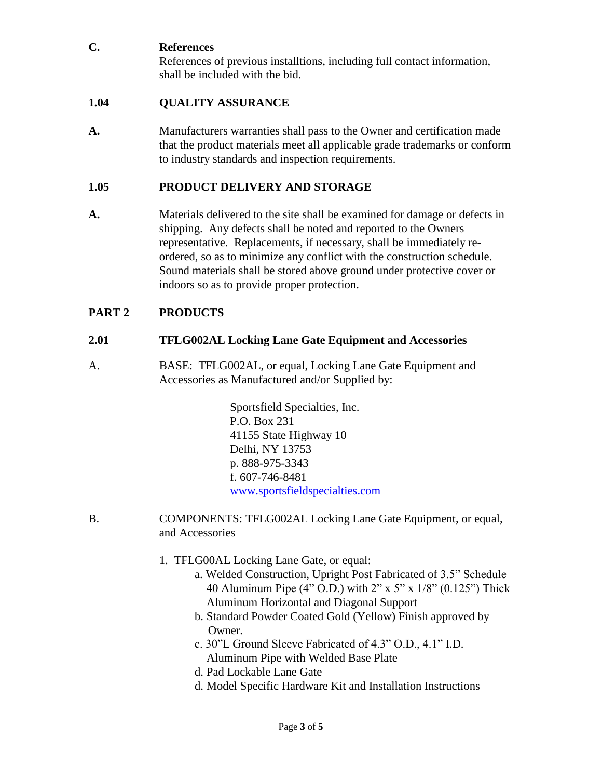## **C. References**

References of previous installtions, including full contact information, shall be included with the bid.

## **1.04 QUALITY ASSURANCE**

**A.** Manufacturers warranties shall pass to the Owner and certification made that the product materials meet all applicable grade trademarks or conform to industry standards and inspection requirements.

## **1.05 PRODUCT DELIVERY AND STORAGE**

**A.** Materials delivered to the site shall be examined for damage or defects in shipping. Any defects shall be noted and reported to the Owners representative. Replacements, if necessary, shall be immediately re ordered, so as to minimize any conflict with the construction schedule. Sound materials shall be stored above ground under protective cover or indoors so as to provide proper protection.

## **PART 2 PRODUCTS**

### **2.01 TFLG002AL Locking Lane Gate Equipment and Accessories**

A. BASE: TFLG002AL, or equal, Locking Lane Gate Equipment and Accessories as Manufactured and/or Supplied by:

> Sportsfield Specialties, Inc. P.O. Box 231 41155 State Highway 10 Delhi, NY 13753 p. 888-975-3343 f. 607-746-8481 [www.sportsfieldspecialties.com](http://www.sportsfieldspecialties.com/)

- B. COMPONENTS: TFLG002AL Locking Lane Gate Equipment, or equal, and Accessories
	- 1. TFLG00AL Locking Lane Gate, or equal:
		- a. Welded Construction, Upright Post Fabricated of 3.5" Schedule 40 Aluminum Pipe (4" O.D.) with 2" x 5" x 1/8" (0.125") Thick Aluminum Horizontal and Diagonal Support
		- b. Standard Powder Coated Gold (Yellow) Finish approved by Owner.
		- c. 30"L Ground Sleeve Fabricated of 4.3" O.D., 4.1" I.D. Aluminum Pipe with Welded Base Plate
		- d. Pad Lockable Lane Gate
		- d. Model Specific Hardware Kit and Installation Instructions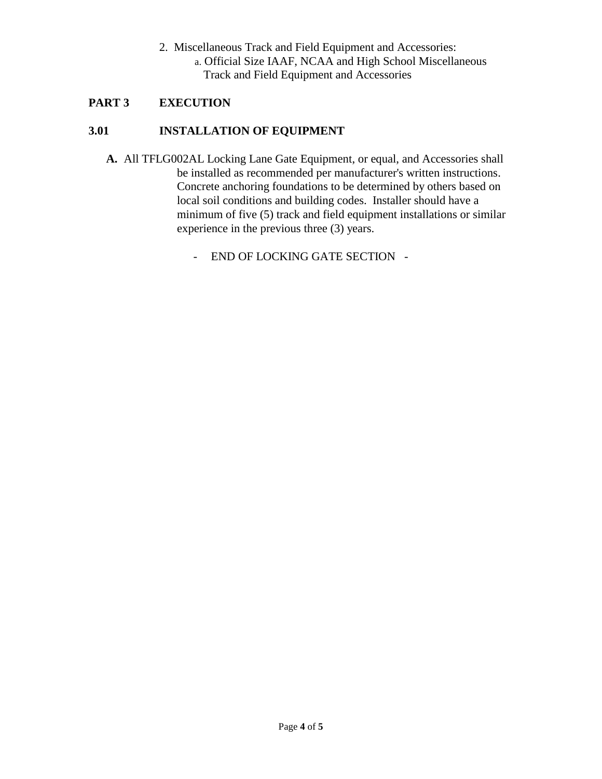2. Miscellaneous Track and Field Equipment and Accessories: a. Official Size IAAF, NCAA and High School Miscellaneous Track and Field Equipment and Accessories

## **PART 3 EXECUTION**

## **3.01 INSTALLATION OF EQUIPMENT**

- **A.** All TFLG002AL Locking Lane Gate Equipment, or equal, and Accessories shall be installed as recommended per manufacturer's written instructions. Concrete anchoring foundations to be determined by others based on local soil conditions and building codes. Installer should have a minimum of five (5) track and field equipment installations or similar experience in the previous three (3) years.
	- END OF LOCKING GATE SECTION -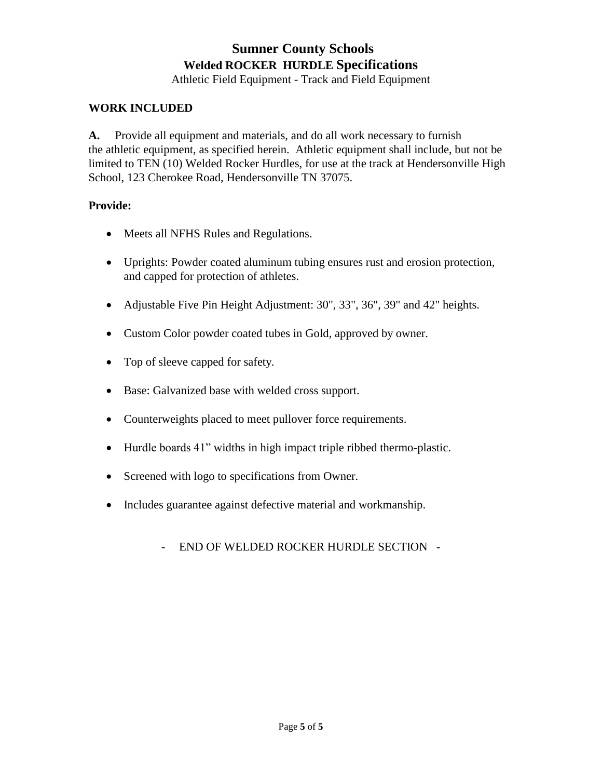# **Sumner County Schools Welded ROCKER HURDLE Specifications**

Athletic Field Equipment - Track and Field Equipment

#### **WORK INCLUDED**

**A.** Provide all equipment and materials, and do all work necessary to furnish the athletic equipment, as specified herein. Athletic equipment shall include, but not be limited to TEN (10) Welded Rocker Hurdles, for use at the track at Hendersonville High School, 123 Cherokee Road, Hendersonville TN 37075.

#### **Provide:**

- Meets all NFHS Rules and Regulations.
- Uprights: Powder coated aluminum tubing ensures rust and erosion protection, and capped for protection of athletes.
- Adjustable Five Pin Height Adjustment: 30", 33", 36", 39" and 42" heights.
- Custom Color powder coated tubes in Gold, approved by owner.
- Top of sleeve capped for safety.
- Base: Galvanized base with welded cross support.
- Counterweights placed to meet pullover force requirements.
- Hurdle boards 41" widths in high impact triple ribbed thermo-plastic.
- Screened with logo to specifications from Owner.
- Includes guarantee against defective material and workmanship.
	- END OF WELDED ROCKER HURDLE SECTION -